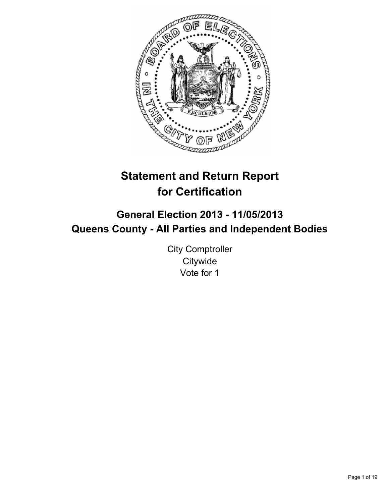

# **Statement and Return Report for Certification**

# **General Election 2013 - 11/05/2013 Queens County - All Parties and Independent Bodies**

City Comptroller **Citywide** Vote for 1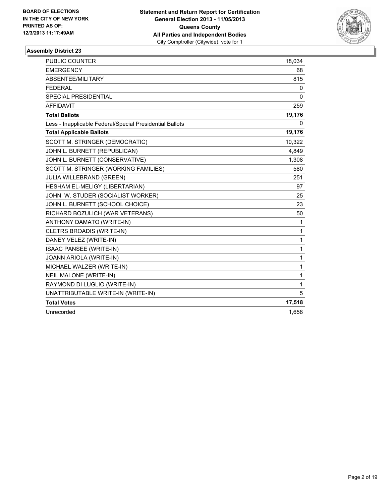

| <b>PUBLIC COUNTER</b>                                    | 18,034 |
|----------------------------------------------------------|--------|
| <b>EMERGENCY</b>                                         | 68     |
| ABSENTEE/MILITARY                                        | 815    |
| <b>FEDERAL</b>                                           | 0      |
| <b>SPECIAL PRESIDENTIAL</b>                              | 0      |
| <b>AFFIDAVIT</b>                                         | 259    |
| <b>Total Ballots</b>                                     | 19,176 |
| Less - Inapplicable Federal/Special Presidential Ballots | 0      |
| <b>Total Applicable Ballots</b>                          | 19,176 |
| SCOTT M. STRINGER (DEMOCRATIC)                           | 10,322 |
| JOHN L. BURNETT (REPUBLICAN)                             | 4,849  |
| JOHN L. BURNETT (CONSERVATIVE)                           | 1,308  |
| SCOTT M. STRINGER (WORKING FAMILIES)                     | 580    |
| JULIA WILLEBRAND (GREEN)                                 | 251    |
| HESHAM EL-MELIGY (LIBERTARIAN)                           | 97     |
| JOHN W. STUDER (SOCIALIST WORKER)                        | 25     |
| JOHN L. BURNETT (SCHOOL CHOICE)                          | 23     |
| RICHARD BOZULICH (WAR VETERANS)                          | 50     |
| ANTHONY DAMATO (WRITE-IN)                                | 1      |
| CLETRS BROADIS (WRITE-IN)                                | 1      |
| DANEY VELEZ (WRITE-IN)                                   | 1      |
| <b>ISAAC PANSEE (WRITE-IN)</b>                           | 1      |
| JOANN ARIOLA (WRITE-IN)                                  | 1      |
| MICHAEL WALZER (WRITE-IN)                                | 1      |
| NEIL MALONE (WRITE-IN)                                   | 1      |
| RAYMOND DI LUGLIO (WRITE-IN)                             | 1      |
| UNATTRIBUTABLE WRITE-IN (WRITE-IN)                       | 5      |
| <b>Total Votes</b>                                       | 17,518 |
| Unrecorded                                               | 1,658  |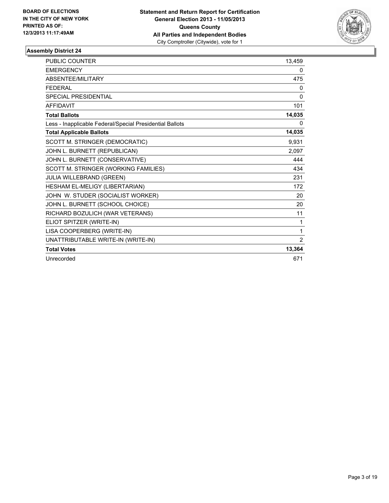

| <b>PUBLIC COUNTER</b>                                    | 13,459   |
|----------------------------------------------------------|----------|
| <b>EMERGENCY</b>                                         | 0        |
| <b>ABSENTEE/MILITARY</b>                                 | 475      |
| <b>FFDFRAI</b>                                           | 0        |
| <b>SPECIAL PRESIDENTIAL</b>                              | $\Omega$ |
| <b>AFFIDAVIT</b>                                         | 101      |
| <b>Total Ballots</b>                                     | 14,035   |
| Less - Inapplicable Federal/Special Presidential Ballots | 0        |
| <b>Total Applicable Ballots</b>                          | 14,035   |
| SCOTT M. STRINGER (DEMOCRATIC)                           | 9,931    |
| JOHN L. BURNETT (REPUBLICAN)                             | 2,097    |
| JOHN L. BURNETT (CONSERVATIVE)                           | 444      |
| SCOTT M. STRINGER (WORKING FAMILIES)                     | 434      |
| JULIA WILLEBRAND (GREEN)                                 | 231      |
| HESHAM EL-MELIGY (LIBERTARIAN)                           | 172      |
| JOHN W. STUDER (SOCIALIST WORKER)                        | 20       |
| JOHN L. BURNETT (SCHOOL CHOICE)                          | 20       |
| RICHARD BOZULICH (WAR VETERANS)                          | 11       |
| ELIOT SPITZER (WRITE-IN)                                 | 1        |
| LISA COOPERBERG (WRITE-IN)                               | 1        |
| UNATTRIBUTABLE WRITE-IN (WRITE-IN)                       | 2        |
| <b>Total Votes</b>                                       | 13,364   |
| Unrecorded                                               | 671      |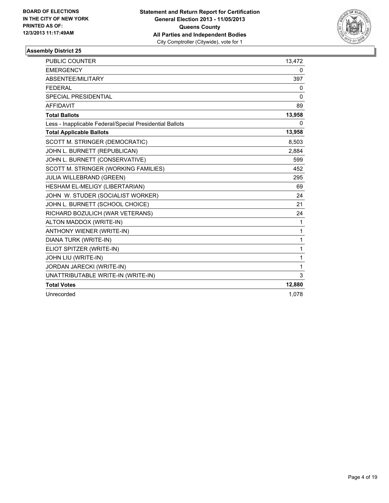

| PUBLIC COUNTER                                           | 13,472   |
|----------------------------------------------------------|----------|
| <b>EMERGENCY</b>                                         | 0        |
| ABSENTEE/MILITARY                                        | 397      |
| <b>FEDERAL</b>                                           | 0        |
| <b>SPECIAL PRESIDENTIAL</b>                              | $\Omega$ |
| <b>AFFIDAVIT</b>                                         | 89       |
| <b>Total Ballots</b>                                     | 13,958   |
| Less - Inapplicable Federal/Special Presidential Ballots | 0        |
| <b>Total Applicable Ballots</b>                          | 13,958   |
| SCOTT M. STRINGER (DEMOCRATIC)                           | 8,503    |
| JOHN L. BURNETT (REPUBLICAN)                             | 2.884    |
| JOHN L. BURNETT (CONSERVATIVE)                           | 599      |
| SCOTT M. STRINGER (WORKING FAMILIES)                     | 452      |
| JULIA WILLEBRAND (GREEN)                                 | 295      |
| HESHAM EL-MELIGY (LIBERTARIAN)                           | 69       |
| JOHN W. STUDER (SOCIALIST WORKER)                        | 24       |
| JOHN L. BURNETT (SCHOOL CHOICE)                          | 21       |
| RICHARD BOZULICH (WAR VETERANS)                          | 24       |
| ALTON MADDOX (WRITE-IN)                                  | 1        |
| <b>ANTHONY WIENER (WRITE-IN)</b>                         | 1        |
| DIANA TURK (WRITE-IN)                                    | 1        |
| ELIOT SPITZER (WRITE-IN)                                 | 1        |
| JOHN LIU (WRITE-IN)                                      | 1        |
| JORDAN JARECKI (WRITE-IN)                                | 1        |
| UNATTRIBUTABLE WRITE-IN (WRITE-IN)                       | 3        |
| <b>Total Votes</b>                                       | 12,880   |
| Unrecorded                                               | 1.078    |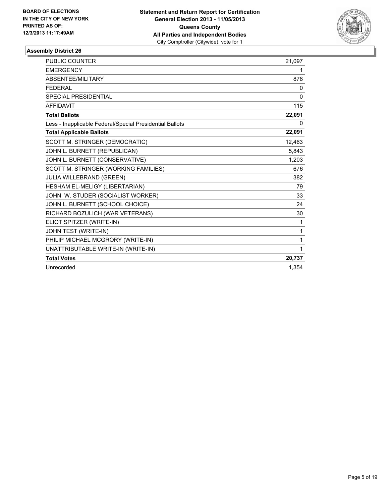

| <b>PUBLIC COUNTER</b>                                    | 21,097      |
|----------------------------------------------------------|-------------|
| <b>EMERGENCY</b>                                         | 1           |
| ABSENTEE/MILITARY                                        | 878         |
| <b>FEDERAL</b>                                           | 0           |
| <b>SPECIAL PRESIDENTIAL</b>                              | 0           |
| <b>AFFIDAVIT</b>                                         | 115         |
| <b>Total Ballots</b>                                     | 22,091      |
| Less - Inapplicable Federal/Special Presidential Ballots | 0           |
| <b>Total Applicable Ballots</b>                          | 22,091      |
| SCOTT M. STRINGER (DEMOCRATIC)                           | 12,463      |
| JOHN L. BURNETT (REPUBLICAN)                             | 5,843       |
| JOHN L. BURNETT (CONSERVATIVE)                           | 1,203       |
| SCOTT M. STRINGER (WORKING FAMILIES)                     | 676         |
| <b>JULIA WILLEBRAND (GREEN)</b>                          | 382         |
| HESHAM EL-MELIGY (LIBERTARIAN)                           | 79          |
| JOHN W. STUDER (SOCIALIST WORKER)                        | 33          |
| JOHN L. BURNETT (SCHOOL CHOICE)                          | 24          |
| RICHARD BOZULICH (WAR VETERANS)                          | 30          |
| ELIOT SPITZER (WRITE-IN)                                 | 1           |
| JOHN TEST (WRITE-IN)                                     | 1           |
| PHILIP MICHAEL MCGRORY (WRITE-IN)                        | 1           |
| UNATTRIBUTABLE WRITE-IN (WRITE-IN)                       | $\mathbf 1$ |
| <b>Total Votes</b>                                       | 20,737      |
| Unrecorded                                               | 1.354       |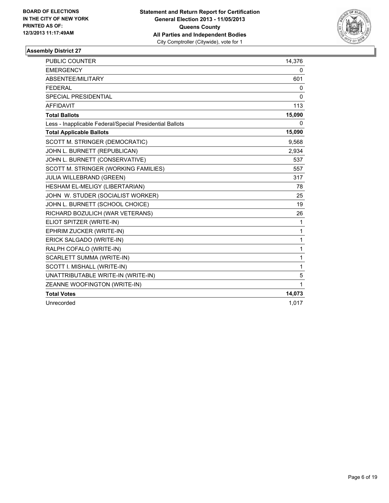

| <b>PUBLIC COUNTER</b>                                    | 14,376       |
|----------------------------------------------------------|--------------|
| <b>EMERGENCY</b>                                         | 0            |
| ABSENTEE/MILITARY                                        | 601          |
| <b>FEDERAL</b>                                           | 0            |
| <b>SPECIAL PRESIDENTIAL</b>                              | $\mathbf{0}$ |
| <b>AFFIDAVIT</b>                                         | 113          |
| <b>Total Ballots</b>                                     | 15,090       |
| Less - Inapplicable Federal/Special Presidential Ballots | 0            |
| <b>Total Applicable Ballots</b>                          | 15,090       |
| SCOTT M. STRINGER (DEMOCRATIC)                           | 9,568        |
| JOHN L. BURNETT (REPUBLICAN)                             | 2,934        |
| JOHN L. BURNETT (CONSERVATIVE)                           | 537          |
| SCOTT M. STRINGER (WORKING FAMILIES)                     | 557          |
| JULIA WILLEBRAND (GREEN)                                 | 317          |
| HESHAM EL-MELIGY (LIBERTARIAN)                           | 78           |
| JOHN W. STUDER (SOCIALIST WORKER)                        | 25           |
| JOHN L. BURNETT (SCHOOL CHOICE)                          | 19           |
| RICHARD BOZULICH (WAR VETERANS)                          | 26           |
| ELIOT SPITZER (WRITE-IN)                                 | 1            |
| EPHRIM ZUCKER (WRITE-IN)                                 | 1            |
| ERICK SALGADO (WRITE-IN)                                 | 1            |
| RALPH COFALO (WRITE-IN)                                  | 1            |
| SCARLETT SUMMA (WRITE-IN)                                | 1            |
| SCOTT I. MISHALL (WRITE-IN)                              | 1            |
| UNATTRIBUTABLE WRITE-IN (WRITE-IN)                       | 5            |
| ZEANNE WOOFINGTON (WRITE-IN)                             | 1            |
| <b>Total Votes</b>                                       | 14,073       |
| Unrecorded                                               | 1,017        |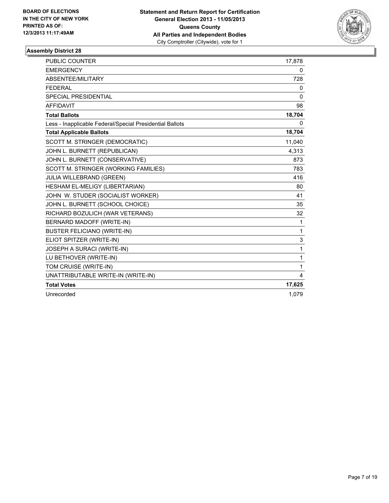

| <b>PUBLIC COUNTER</b>                                    | 17,878       |
|----------------------------------------------------------|--------------|
| <b>EMERGENCY</b>                                         | 0            |
| ABSENTEE/MILITARY                                        | 728          |
| <b>FEDERAL</b>                                           | 0            |
| <b>SPECIAL PRESIDENTIAL</b>                              | $\mathbf{0}$ |
| <b>AFFIDAVIT</b>                                         | 98           |
| <b>Total Ballots</b>                                     | 18,704       |
| Less - Inapplicable Federal/Special Presidential Ballots | $\mathbf{0}$ |
| <b>Total Applicable Ballots</b>                          | 18,704       |
| SCOTT M. STRINGER (DEMOCRATIC)                           | 11,040       |
| JOHN L. BURNETT (REPUBLICAN)                             | 4,313        |
| JOHN L. BURNETT (CONSERVATIVE)                           | 873          |
| SCOTT M. STRINGER (WORKING FAMILIES)                     | 783          |
| JULIA WILLEBRAND (GREEN)                                 | 416          |
| HESHAM EL-MELIGY (LIBERTARIAN)                           | 80           |
| JOHN W. STUDER (SOCIALIST WORKER)                        | 41           |
| JOHN L. BURNETT (SCHOOL CHOICE)                          | 35           |
| RICHARD BOZULICH (WAR VETERANS)                          | 32           |
| BERNARD MADOFF (WRITE-IN)                                | 1            |
| <b>BUSTER FELICIANO (WRITE-IN)</b>                       | 1            |
| ELIOT SPITZER (WRITE-IN)                                 | 3            |
| JOSEPH A SURACI (WRITE-IN)                               | 1            |
| LU BETHOVER (WRITE-IN)                                   | 1            |
| TOM CRUISE (WRITE-IN)                                    | 1            |
| UNATTRIBUTABLE WRITE-IN (WRITE-IN)                       | 4            |
| <b>Total Votes</b>                                       | 17,625       |
| Unrecorded                                               | 1,079        |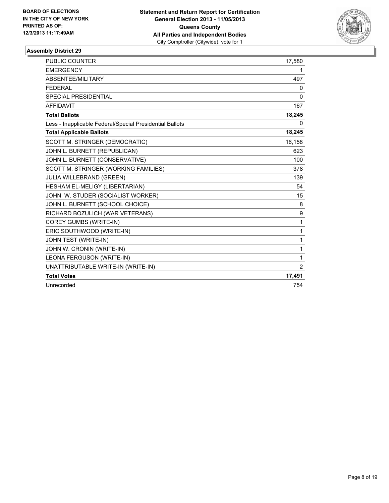

| <b>PUBLIC COUNTER</b>                                    | 17,580         |
|----------------------------------------------------------|----------------|
| <b>EMERGENCY</b>                                         | 1              |
| ABSENTEE/MILITARY                                        | 497            |
| <b>FEDERAL</b>                                           | 0              |
| SPECIAL PRESIDENTIAL                                     | 0              |
| <b>AFFIDAVIT</b>                                         | 167            |
| <b>Total Ballots</b>                                     | 18,245         |
| Less - Inapplicable Federal/Special Presidential Ballots | 0              |
| <b>Total Applicable Ballots</b>                          | 18,245         |
| SCOTT M. STRINGER (DEMOCRATIC)                           | 16,158         |
| JOHN L. BURNETT (REPUBLICAN)                             | 623            |
| JOHN L. BURNETT (CONSERVATIVE)                           | 100            |
| SCOTT M. STRINGER (WORKING FAMILIES)                     | 378            |
| JULIA WILLEBRAND (GREEN)                                 | 139            |
| HESHAM EL-MELIGY (LIBERTARIAN)                           | 54             |
| JOHN W. STUDER (SOCIALIST WORKER)                        | 15             |
| JOHN L. BURNETT (SCHOOL CHOICE)                          | 8              |
| RICHARD BOZULICH (WAR VETERANS)                          | 9              |
| COREY GUMBS (WRITE-IN)                                   | $\mathbf{1}$   |
| ERIC SOUTHWOOD (WRITE-IN)                                | 1              |
| JOHN TEST (WRITE-IN)                                     | $\mathbf{1}$   |
| JOHN W. CRONIN (WRITE-IN)                                | 1              |
| LEONA FERGUSON (WRITE-IN)                                | $\mathbf{1}$   |
| UNATTRIBUTABLE WRITE-IN (WRITE-IN)                       | $\overline{2}$ |
| <b>Total Votes</b>                                       | 17,491         |
| Unrecorded                                               | 754            |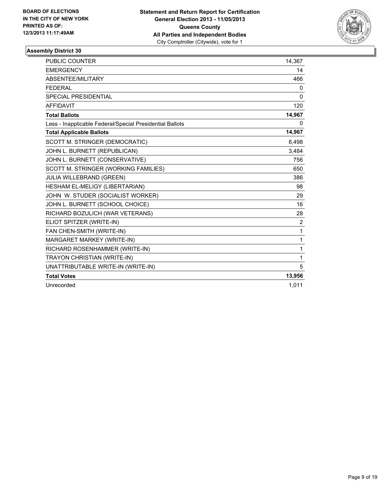

| <b>PUBLIC COUNTER</b>                                    | 14,367 |
|----------------------------------------------------------|--------|
| <b>EMERGENCY</b>                                         | 14     |
| ABSENTEE/MILITARY                                        | 466    |
| <b>FEDERAL</b>                                           | 0      |
| <b>SPECIAL PRESIDENTIAL</b>                              | 0      |
| <b>AFFIDAVIT</b>                                         | 120    |
| <b>Total Ballots</b>                                     | 14,967 |
| Less - Inapplicable Federal/Special Presidential Ballots | 0      |
| <b>Total Applicable Ballots</b>                          | 14,967 |
| SCOTT M. STRINGER (DEMOCRATIC)                           | 8,498  |
| JOHN L. BURNETT (REPUBLICAN)                             | 3,484  |
| JOHN L. BURNETT (CONSERVATIVE)                           | 756    |
| SCOTT M. STRINGER (WORKING FAMILIES)                     | 650    |
| JULIA WILLEBRAND (GREEN)                                 | 386    |
| HESHAM EL-MELIGY (LIBERTARIAN)                           | 98     |
| JOHN W. STUDER (SOCIALIST WORKER)                        | 29     |
| JOHN L. BURNETT (SCHOOL CHOICE)                          | 16     |
| RICHARD BOZULICH (WAR VETERANS)                          | 28     |
| ELIOT SPITZER (WRITE-IN)                                 | 2      |
| FAN CHEN-SMITH (WRITE-IN)                                | 1      |
| MARGARET MARKEY (WRITE-IN)                               | 1      |
| RICHARD ROSENHAMMER (WRITE-IN)                           | 1      |
| TRAYON CHRISTIAN (WRITE-IN)                              | 1      |
| UNATTRIBUTABLE WRITE-IN (WRITE-IN)                       | 5      |
| <b>Total Votes</b>                                       | 13,956 |
| Unrecorded                                               | 1,011  |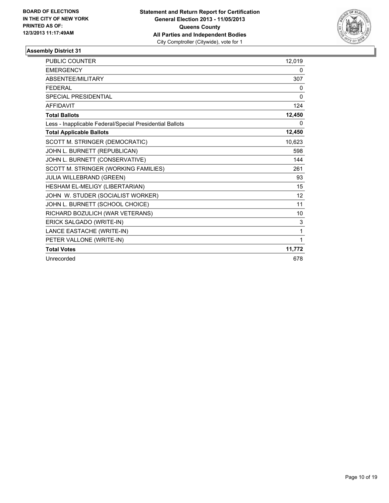

| PUBLIC COUNTER                                           | 12.019 |
|----------------------------------------------------------|--------|
| <b>EMERGENCY</b>                                         | 0      |
| <b>ABSENTEE/MILITARY</b>                                 | 307    |
| <b>FEDERAL</b>                                           | 0      |
| SPECIAL PRESIDENTIAL                                     | 0      |
| <b>AFFIDAVIT</b>                                         | 124    |
| <b>Total Ballots</b>                                     | 12,450 |
| Less - Inapplicable Federal/Special Presidential Ballots | 0      |
| <b>Total Applicable Ballots</b>                          | 12,450 |
| SCOTT M. STRINGER (DEMOCRATIC)                           | 10,623 |
| JOHN L. BURNETT (REPUBLICAN)                             | 598    |
| JOHN L. BURNETT (CONSERVATIVE)                           | 144    |
| SCOTT M. STRINGER (WORKING FAMILIES)                     | 261    |
| JULIA WILLEBRAND (GREEN)                                 | 93     |
| HESHAM EL-MELIGY (LIBERTARIAN)                           | 15     |
| JOHN W. STUDER (SOCIALIST WORKER)                        | 12     |
| JOHN L. BURNETT (SCHOOL CHOICE)                          | 11     |
| RICHARD BOZULICH (WAR VETERANS)                          | 10     |
| ERICK SALGADO (WRITE-IN)                                 | 3      |
| LANCE EASTACHE (WRITE-IN)                                | 1      |
| PETER VALLONE (WRITE-IN)                                 | 1      |
| <b>Total Votes</b>                                       | 11,772 |
| Unrecorded                                               | 678    |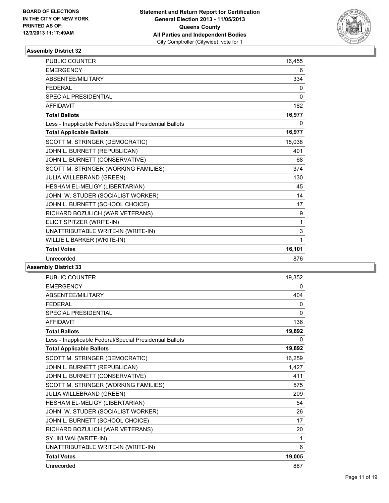

| <b>PUBLIC COUNTER</b>                                    | 16,455       |
|----------------------------------------------------------|--------------|
| <b>EMERGENCY</b>                                         | 6            |
| <b>ABSENTEE/MILITARY</b>                                 | 334          |
| <b>FEDERAL</b>                                           | $\mathbf{0}$ |
| <b>SPECIAL PRESIDENTIAL</b>                              | $\mathbf{0}$ |
| <b>AFFIDAVIT</b>                                         | 182          |
| <b>Total Ballots</b>                                     | 16,977       |
| Less - Inapplicable Federal/Special Presidential Ballots | 0            |
| <b>Total Applicable Ballots</b>                          | 16,977       |
| SCOTT M. STRINGER (DEMOCRATIC)                           | 15,038       |
| JOHN L. BURNETT (REPUBLICAN)                             | 401          |
| JOHN L. BURNETT (CONSERVATIVE)                           | 68           |
| SCOTT M. STRINGER (WORKING FAMILIES)                     | 374          |
| JULIA WILLEBRAND (GREEN)                                 | 130          |
| HESHAM EL-MELIGY (LIBERTARIAN)                           | 45           |
| JOHN W. STUDER (SOCIALIST WORKER)                        | 14           |
| JOHN L. BURNETT (SCHOOL CHOICE)                          | 17           |
| RICHARD BOZULICH (WAR VETERANS)                          | 9            |
| ELIOT SPITZER (WRITE-IN)                                 | 1            |
| UNATTRIBUTABLE WRITE-IN (WRITE-IN)                       | 3            |
| WILLIE L BARKER (WRITE-IN)                               | 1            |
| <b>Total Votes</b>                                       | 16,101       |
| Unrecorded                                               | 876          |

| <b>PUBLIC COUNTER</b>                                    | 19,352       |
|----------------------------------------------------------|--------------|
| <b>EMERGENCY</b>                                         | 0            |
| ABSENTEE/MILITARY                                        | 404          |
| <b>FFDFRAL</b>                                           | 0            |
| <b>SPECIAL PRESIDENTIAL</b>                              | $\mathbf{0}$ |
| <b>AFFIDAVIT</b>                                         | 136          |
| <b>Total Ballots</b>                                     | 19,892       |
| Less - Inapplicable Federal/Special Presidential Ballots | 0            |
| <b>Total Applicable Ballots</b>                          | 19,892       |
| SCOTT M. STRINGER (DEMOCRATIC)                           | 16,259       |
| JOHN L. BURNETT (REPUBLICAN)                             | 1,427        |
| JOHN L. BURNETT (CONSERVATIVE)                           | 411          |
| SCOTT M. STRINGER (WORKING FAMILIES)                     | 575          |
| <b>JULIA WILLEBRAND (GREEN)</b>                          | 209          |
| HESHAM EL-MELIGY (LIBERTARIAN)                           | 54           |
| JOHN W. STUDER (SOCIALIST WORKER)                        | 26           |
| JOHN L. BURNETT (SCHOOL CHOICE)                          | 17           |
| RICHARD BOZULICH (WAR VETERANS)                          | 20           |
| SYLIKI WAI (WRITE-IN)                                    | $\mathbf 1$  |
| UNATTRIBUTABLE WRITE-IN (WRITE-IN)                       | 6            |
| <b>Total Votes</b>                                       | 19,005       |
| Unrecorded                                               | 887          |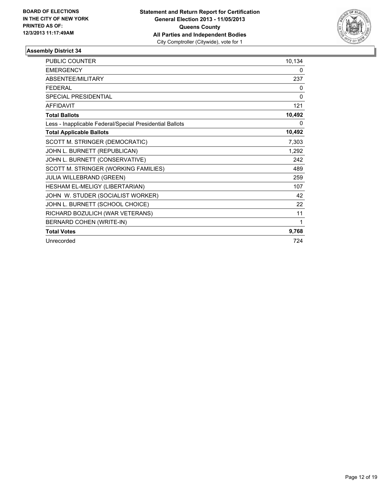

| PUBLIC COUNTER                                           | 10,134 |
|----------------------------------------------------------|--------|
| <b>EMERGENCY</b>                                         | 0      |
| <b>ABSENTEE/MILITARY</b>                                 | 237    |
| <b>FEDERAL</b>                                           | 0      |
| <b>SPECIAL PRESIDENTIAL</b>                              | 0      |
| <b>AFFIDAVIT</b>                                         | 121    |
| <b>Total Ballots</b>                                     | 10,492 |
| Less - Inapplicable Federal/Special Presidential Ballots | 0      |
| <b>Total Applicable Ballots</b>                          | 10,492 |
| SCOTT M. STRINGER (DEMOCRATIC)                           | 7,303  |
| JOHN L. BURNETT (REPUBLICAN)                             | 1,292  |
| JOHN L. BURNETT (CONSERVATIVE)                           | 242    |
| SCOTT M. STRINGER (WORKING FAMILIES)                     | 489    |
| <b>JULIA WILLEBRAND (GREEN)</b>                          | 259    |
| HESHAM EL-MELIGY (LIBERTARIAN)                           | 107    |
| JOHN W. STUDER (SOCIALIST WORKER)                        | 42     |
| JOHN L. BURNETT (SCHOOL CHOICE)                          | 22     |
| RICHARD BOZULICH (WAR VETERANS)                          | 11     |
| BERNARD COHEN (WRITE-IN)                                 | 1      |
| <b>Total Votes</b>                                       | 9,768  |
| Unrecorded                                               | 724    |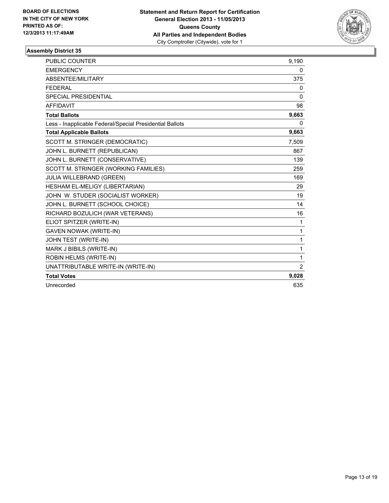

| <b>PUBLIC COUNTER</b>                                    | 9,190          |
|----------------------------------------------------------|----------------|
| <b>EMERGENCY</b>                                         | 0              |
| ABSENTEE/MILITARY                                        | 375            |
| <b>FEDERAL</b>                                           | $\mathbf{0}$   |
| <b>SPECIAL PRESIDENTIAL</b>                              | $\Omega$       |
| <b>AFFIDAVIT</b>                                         | 98             |
| <b>Total Ballots</b>                                     | 9,663          |
| Less - Inapplicable Federal/Special Presidential Ballots | 0              |
| <b>Total Applicable Ballots</b>                          | 9,663          |
| SCOTT M. STRINGER (DEMOCRATIC)                           | 7,509          |
| JOHN L. BURNETT (REPUBLICAN)                             | 867            |
| JOHN L. BURNETT (CONSERVATIVE)                           | 139            |
| SCOTT M. STRINGER (WORKING FAMILIES)                     | 259            |
| JULIA WILLEBRAND (GREEN)                                 | 169            |
| HESHAM EL-MELIGY (LIBERTARIAN)                           | 29             |
| JOHN W. STUDER (SOCIALIST WORKER)                        | 19             |
| JOHN L. BURNETT (SCHOOL CHOICE)                          | 14             |
| RICHARD BOZULICH (WAR VETERANS)                          | 16             |
| ELIOT SPITZER (WRITE-IN)                                 | $\mathbf{1}$   |
| <b>GAVEN NOWAK (WRITE-IN)</b>                            | $\mathbf{1}$   |
| JOHN TEST (WRITE-IN)                                     | 1              |
| MARK J BIBILS (WRITE-IN)                                 | $\mathbf 1$    |
| ROBIN HELMS (WRITE-IN)                                   | $\mathbf{1}$   |
| UNATTRIBUTABLE WRITE-IN (WRITE-IN)                       | $\overline{2}$ |
| <b>Total Votes</b>                                       | 9,028          |
| Unrecorded                                               | 635            |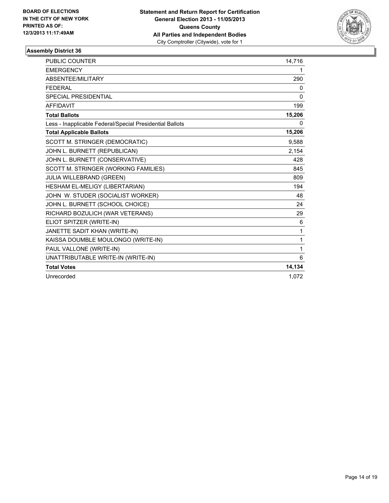

| <b>PUBLIC COUNTER</b>                                    | 14,716       |
|----------------------------------------------------------|--------------|
| <b>EMERGENCY</b>                                         | 1            |
| <b>ABSENTEE/MILITARY</b>                                 | 290          |
| <b>FEDERAL</b>                                           | 0            |
| <b>SPECIAL PRESIDENTIAL</b>                              | $\mathbf{0}$ |
| <b>AFFIDAVIT</b>                                         | 199          |
| <b>Total Ballots</b>                                     | 15,206       |
| Less - Inapplicable Federal/Special Presidential Ballots | 0            |
| <b>Total Applicable Ballots</b>                          | 15,206       |
| SCOTT M. STRINGER (DEMOCRATIC)                           | 9,588        |
| JOHN L. BURNETT (REPUBLICAN)                             | 2,154        |
| JOHN L. BURNETT (CONSERVATIVE)                           | 428          |
| SCOTT M. STRINGER (WORKING FAMILIES)                     | 845          |
| JULIA WILLEBRAND (GREEN)                                 | 809          |
| HESHAM EL-MELIGY (LIBERTARIAN)                           | 194          |
| JOHN W. STUDER (SOCIALIST WORKER)                        | 48           |
| JOHN L. BURNETT (SCHOOL CHOICE)                          | 24           |
| RICHARD BOZULICH (WAR VETERANS)                          | 29           |
| ELIOT SPITZER (WRITE-IN)                                 | 6            |
| JANETTE SADIT KHAN (WRITE-IN)                            | 1            |
| KAISSA DOUMBLE MOULONGO (WRITE-IN)                       | 1            |
| PAUL VALLONE (WRITE-IN)                                  | 1            |
| UNATTRIBUTABLE WRITE-IN (WRITE-IN)                       | 6            |
| <b>Total Votes</b>                                       | 14,134       |
| Unrecorded                                               | 1,072        |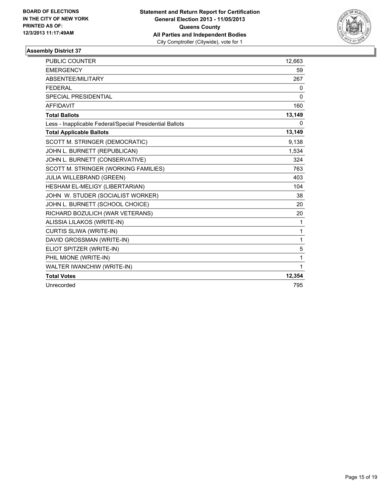

| PUBLIC COUNTER                                           | 12,663       |
|----------------------------------------------------------|--------------|
| <b>EMERGENCY</b>                                         | 59           |
| ABSENTEE/MILITARY                                        | 267          |
| <b>FEDERAL</b>                                           | 0            |
| <b>SPECIAL PRESIDENTIAL</b>                              | 0            |
| <b>AFFIDAVIT</b>                                         | 160          |
| <b>Total Ballots</b>                                     | 13,149       |
| Less - Inapplicable Federal/Special Presidential Ballots | $\Omega$     |
| <b>Total Applicable Ballots</b>                          | 13,149       |
| SCOTT M. STRINGER (DEMOCRATIC)                           | 9,138        |
| JOHN L. BURNETT (REPUBLICAN)                             | 1,534        |
| JOHN L. BURNETT (CONSERVATIVE)                           | 324          |
| SCOTT M. STRINGER (WORKING FAMILIES)                     | 763          |
| JULIA WILLEBRAND (GREEN)                                 | 403          |
| HESHAM EL-MELIGY (LIBERTARIAN)                           | 104          |
| JOHN W. STUDER (SOCIALIST WORKER)                        | 38           |
| JOHN L. BURNETT (SCHOOL CHOICE)                          | 20           |
| RICHARD BOZULICH (WAR VETERANS)                          | 20           |
| ALISSIA LILAKOS (WRITE-IN)                               | 1            |
| <b>CURTIS SLIWA (WRITE-IN)</b>                           | $\mathbf{1}$ |
| DAVID GROSSMAN (WRITE-IN)                                | $\mathbf{1}$ |
| ELIOT SPITZER (WRITE-IN)                                 | 5            |
| PHIL MIONE (WRITE-IN)                                    | 1            |
| WALTER IWANCHIW (WRITE-IN)                               | 1            |
| <b>Total Votes</b>                                       | 12,354       |
| Unrecorded                                               | 795          |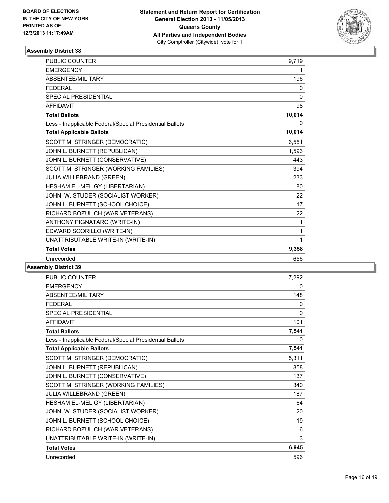

| 9,719        |
|--------------|
| 1            |
| 196          |
| 0            |
| $\mathbf{0}$ |
| 98           |
| 10,014       |
| 0            |
| 10,014       |
| 6,551        |
| 1,593        |
| 443          |
| 394          |
| 233          |
| 80           |
| 22           |
| 17           |
| 22           |
| 1            |
| 1            |
| 1            |
| 9,358        |
| 656          |
|              |

| <b>PUBLIC COUNTER</b>                                    | 7,292 |
|----------------------------------------------------------|-------|
| <b>EMERGENCY</b>                                         | 0     |
| <b>ABSENTEE/MILITARY</b>                                 | 148   |
| <b>FFDFRAI</b>                                           | 0     |
| <b>SPECIAL PRESIDENTIAL</b>                              | 0     |
| <b>AFFIDAVIT</b>                                         | 101   |
| <b>Total Ballots</b>                                     | 7,541 |
| Less - Inapplicable Federal/Special Presidential Ballots | 0     |
| <b>Total Applicable Ballots</b>                          | 7,541 |
| SCOTT M. STRINGER (DEMOCRATIC)                           | 5,311 |
| JOHN L. BURNETT (REPUBLICAN)                             | 858   |
| JOHN L. BURNETT (CONSERVATIVE)                           | 137   |
| SCOTT M. STRINGER (WORKING FAMILIES)                     | 340   |
| JULIA WILLEBRAND (GREEN)                                 | 187   |
| HESHAM EL-MELIGY (LIBERTARIAN)                           | 64    |
| JOHN W. STUDER (SOCIALIST WORKER)                        | 20    |
| JOHN L. BURNETT (SCHOOL CHOICE)                          | 19    |
| RICHARD BOZULICH (WAR VETERANS)                          | 6     |
| UNATTRIBUTABLE WRITE-IN (WRITE-IN)                       | 3     |
| <b>Total Votes</b>                                       | 6,945 |
| Unrecorded                                               | 596   |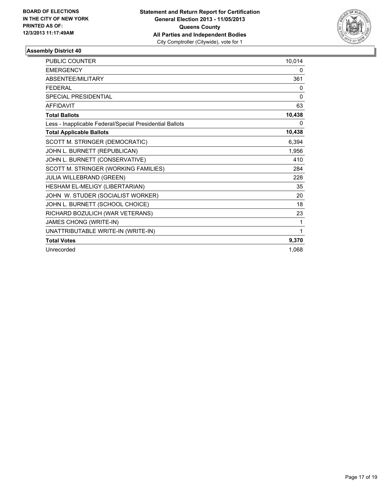

| <b>PUBLIC COUNTER</b>                                    | 10,014   |
|----------------------------------------------------------|----------|
| <b>EMERGENCY</b>                                         | 0        |
| <b>ABSENTEE/MILITARY</b>                                 | 361      |
| <b>FEDERAL</b>                                           | 0        |
| <b>SPECIAL PRESIDENTIAL</b>                              | $\Omega$ |
| <b>AFFIDAVIT</b>                                         | 63       |
| <b>Total Ballots</b>                                     | 10,438   |
| Less - Inapplicable Federal/Special Presidential Ballots | $\Omega$ |
| <b>Total Applicable Ballots</b>                          | 10,438   |
| SCOTT M. STRINGER (DEMOCRATIC)                           | 6,394    |
| JOHN L. BURNETT (REPUBLICAN)                             | 1,956    |
| JOHN L. BURNETT (CONSERVATIVE)                           | 410      |
| SCOTT M. STRINGER (WORKING FAMILIES)                     | 284      |
| JULIA WILLEBRAND (GREEN)                                 | 228      |
| HESHAM EL-MELIGY (LIBERTARIAN)                           | 35       |
| JOHN W. STUDER (SOCIALIST WORKER)                        | 20       |
| JOHN L. BURNETT (SCHOOL CHOICE)                          | 18       |
| RICHARD BOZULICH (WAR VETERANS)                          | 23       |
| JAMES CHONG (WRITE-IN)                                   | 1        |
| UNATTRIBUTABLE WRITE-IN (WRITE-IN)                       | 1        |
| <b>Total Votes</b>                                       | 9,370    |
| Unrecorded                                               | 1.068    |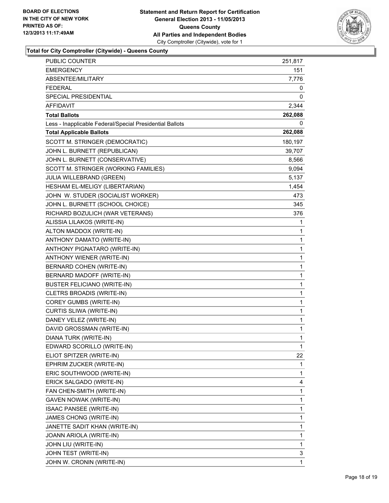

**Total for City Comptroller (Citywide) - Queens County**

| <b>PUBLIC COUNTER</b>                                    | 251,817      |
|----------------------------------------------------------|--------------|
| <b>EMERGENCY</b>                                         | 151          |
| ABSENTEE/MILITARY                                        | 7,776        |
| <b>FEDERAL</b>                                           | 0            |
| SPECIAL PRESIDENTIAL                                     | 0            |
| <b>AFFIDAVIT</b>                                         | 2,344        |
| <b>Total Ballots</b>                                     | 262,088      |
| Less - Inapplicable Federal/Special Presidential Ballots | 0            |
| <b>Total Applicable Ballots</b>                          | 262,088      |
| SCOTT M. STRINGER (DEMOCRATIC)                           | 180,197      |
| JOHN L. BURNETT (REPUBLICAN)                             | 39,707       |
| JOHN L. BURNETT (CONSERVATIVE)                           | 8,566        |
| SCOTT M. STRINGER (WORKING FAMILIES)                     | 9,094        |
| <b>JULIA WILLEBRAND (GREEN)</b>                          | 5,137        |
| HESHAM EL-MELIGY (LIBERTARIAN)                           | 1,454        |
| JOHN W. STUDER (SOCIALIST WORKER)                        | 473          |
| JOHN L. BURNETT (SCHOOL CHOICE)                          | 345          |
| RICHARD BOZULICH (WAR VETERANS)                          | 376          |
| ALISSIA LILAKOS (WRITE-IN)                               | 1            |
| ALTON MADDOX (WRITE-IN)                                  | 1            |
| ANTHONY DAMATO (WRITE-IN)                                | 1            |
| ANTHONY PIGNATARO (WRITE-IN)                             | $\mathbf{1}$ |
| ANTHONY WIENER (WRITE-IN)                                | 1            |
| BERNARD COHEN (WRITE-IN)                                 | 1            |
| BERNARD MADOFF (WRITE-IN)                                | $\mathbf{1}$ |
| <b>BUSTER FELICIANO (WRITE-IN)</b>                       | 1            |
| CLETRS BROADIS (WRITE-IN)                                | 1            |
| <b>COREY GUMBS (WRITE-IN)</b>                            | 1            |
| CURTIS SLIWA (WRITE-IN)                                  | 1            |
| DANEY VELEZ (WRITE-IN)                                   | 1            |
| DAVID GROSSMAN (WRITE-IN)                                | $\mathbf{1}$ |
| DIANA TURK (WRITE-IN)                                    | 1            |
| EDWARD SCORILLO (WRITE-IN)                               | 1            |
| ELIOT SPITZER (WRITE-IN)                                 | 22           |
| EPHRIM ZUCKER (WRITE-IN)                                 | 1            |
| ERIC SOUTHWOOD (WRITE-IN)                                | 1            |
| ERICK SALGADO (WRITE-IN)                                 | 4            |
| FAN CHEN-SMITH (WRITE-IN)                                | 1            |
| GAVEN NOWAK (WRITE-IN)                                   | 1            |
| ISAAC PANSEE (WRITE-IN)                                  | $\mathbf{1}$ |
| JAMES CHONG (WRITE-IN)                                   | 1            |
| JANETTE SADIT KHAN (WRITE-IN)                            | 1            |
| JOANN ARIOLA (WRITE-IN)                                  | 1            |
| JOHN LIU (WRITE-IN)                                      | 1            |
| JOHN TEST (WRITE-IN)                                     | 3            |
| JOHN W. CRONIN (WRITE-IN)                                | 1            |